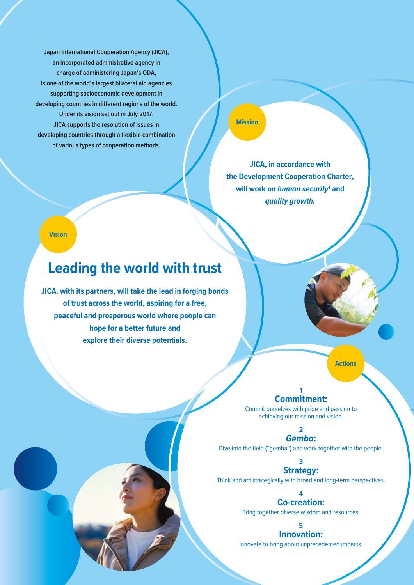**Japan International Cooperation Agency (JICA), an incorporated administrative agency in charge of administering Japan's ODA, is one of the world's largest bilateral aid agencies supporting socioeconomic development in developing countries in different regions of the world. Under its vision set out in July 2017, JICA supports the resolution of issues in developing countries through a flexible combination of various types of cooperation methods.**

**Mission**

**JICA, in accordance with the Development Cooperation Charter, will work on** *human security***<sup>1</sup> and**  *quality growth.*

**Vision**

## **Leading the world with trust**

**JICA, with its partners, will take the lead in forging bonds of trust across the world, aspiring for a free, peaceful and prosperous world where people can hope for a better future and explore their diverse potentials.**

**Actions**

## **1 Commitment:**

Commit ourselves with pride and passion to achieving our mission and vision.

> **2** *Gemba***:**

Dive into the field ("gemba") and work together with the people.

**3 Strategy:**

Think and act strategically with broad and long-term perspectives.

**4 Co-creation:**

Bring together diverse wisdom and resources.

**5 Innovation:**

Innovate to bring about unprecedented impacts.